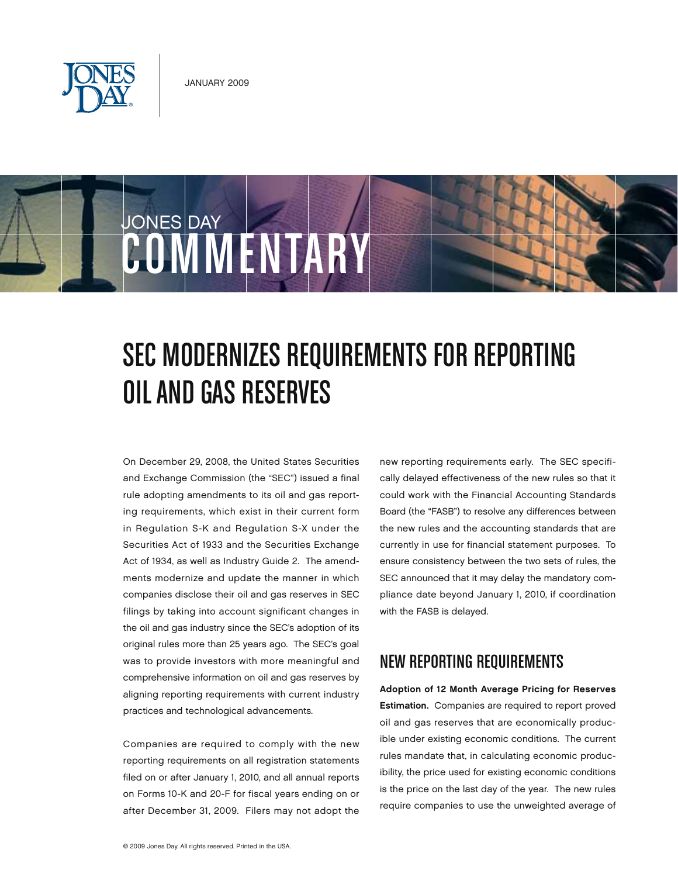

JONES DAY



## SEC Modernizes Requirements for Reporting Oil and Gas Reserves

On December 29, 2008, the United States Securities and Exchange Commission (the "SEC") issued a final rule adopting amendments to its oil and gas reporting requirements, which exist in their current form in Regulation S-K and Regulation S-X under the Securities Act of 1933 and the Securities Exchange Act of 1934, as well as Industry Guide 2. The amendments modernize and update the manner in which companies disclose their oil and gas reserves in SEC filings by taking into account significant changes in the oil and gas industry since the SEC's adoption of its original rules more than 25 years ago. The SEC's goal was to provide investors with more meaningful and comprehensive information on oil and gas reserves by aligning reporting requirements with current industry practices and technological advancements.

Companies are required to comply with the new reporting requirements on all registration statements filed on or after January 1, 2010, and all annual reports on Forms 10-K and 20-F for fiscal years ending on or after December 31, 2009. Filers may not adopt the

new reporting requirements early. The SEC specifically delayed effectiveness of the new rules so that it could work with the Financial Accounting Standards Board (the "FASB") to resolve any differences between the new rules and the accounting standards that are currently in use for financial statement purposes. To ensure consistency between the two sets of rules, the SEC announced that it may delay the mandatory compliance date beyond January 1, 2010, if coordination with the FASB is delayed.

## New Reporting Requirements

Adoption of 12 Month Average Pricing for Reserves Estimation. Companies are required to report proved oil and gas reserves that are economically producible under existing economic conditions. The current rules mandate that, in calculating economic producibility, the price used for existing economic conditions is the price on the last day of the year. The new rules require companies to use the unweighted average of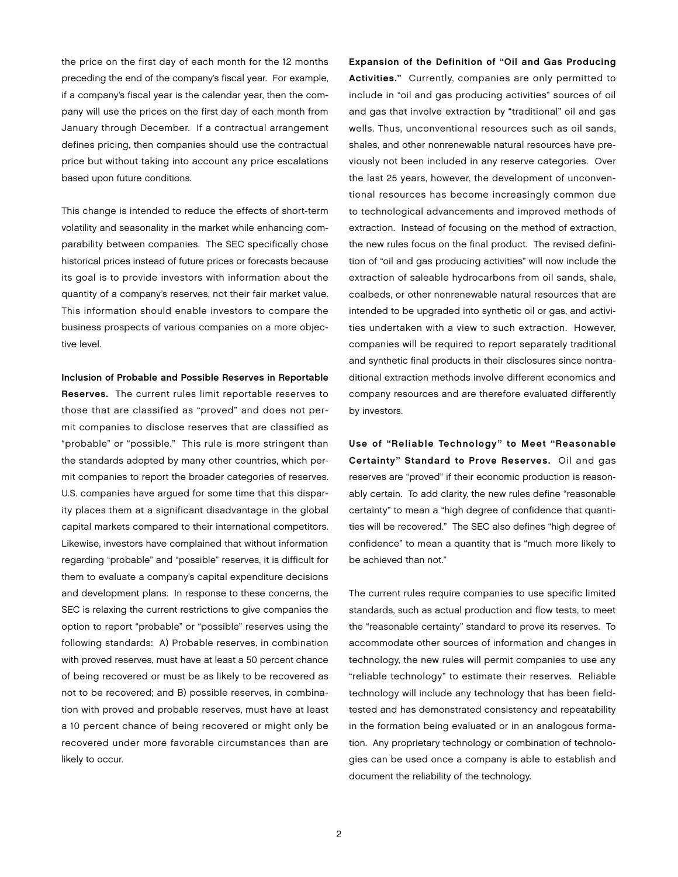the price on the first day of each month for the 12 months preceding the end of the company's fiscal year. For example, if a company's fiscal year is the calendar year, then the company will use the prices on the first day of each month from January through December. If a contractual arrangement defines pricing, then companies should use the contractual price but without taking into account any price escalations based upon future conditions.

This change is intended to reduce the effects of short-term volatility and seasonality in the market while enhancing comparability between companies. The SEC specifically chose historical prices instead of future prices or forecasts because its goal is to provide investors with information about the quantity of a company's reserves, not their fair market value. This information should enable investors to compare the business prospects of various companies on a more objective level.

Inclusion of Probable and Possible Reserves in Reportable

Reserves. The current rules limit reportable reserves to those that are classified as "proved" and does not permit companies to disclose reserves that are classified as "probable" or "possible." This rule is more stringent than the standards adopted by many other countries, which permit companies to report the broader categories of reserves. U.S. companies have argued for some time that this disparity places them at a significant disadvantage in the global capital markets compared to their international competitors. Likewise, investors have complained that without information regarding "probable" and "possible" reserves, it is difficult for them to evaluate a company's capital expenditure decisions and development plans. In response to these concerns, the SEC is relaxing the current restrictions to give companies the option to report "probable" or "possible" reserves using the following standards: A) Probable reserves, in combination with proved reserves, must have at least a 50 percent chance of being recovered or must be as likely to be recovered as not to be recovered; and B) possible reserves, in combination with proved and probable reserves, must have at least a 10 percent chance of being recovered or might only be recovered under more favorable circumstances than are likely to occur.

Expansion of the Definition of "Oil and Gas Producing Activities." Currently, companies are only permitted to include in "oil and gas producing activities" sources of oil and gas that involve extraction by "traditional" oil and gas wells. Thus, unconventional resources such as oil sands, shales, and other nonrenewable natural resources have previously not been included in any reserve categories. Over the last 25 years, however, the development of unconventional resources has become increasingly common due to technological advancements and improved methods of extraction. Instead of focusing on the method of extraction, the new rules focus on the final product. The revised definition of "oil and gas producing activities" will now include the extraction of saleable hydrocarbons from oil sands, shale, coalbeds, or other nonrenewable natural resources that are intended to be upgraded into synthetic oil or gas, and activities undertaken with a view to such extraction. However, companies will be required to report separately traditional and synthetic final products in their disclosures since nontraditional extraction methods involve different economics and company resources and are therefore evaluated differently by investors.

Use of "Reliable Technology" to Meet "Reasonable Certainty" Standard to Prove Reserves. Oil and gas reserves are "proved" if their economic production is reasonably certain. To add clarity, the new rules define "reasonable certainty" to mean a "high degree of confidence that quantities will be recovered." The SEC also defines "high degree of confidence" to mean a quantity that is "much more likely to be achieved than not."

The current rules require companies to use specific limited standards, such as actual production and flow tests, to meet the "reasonable certainty" standard to prove its reserves. To accommodate other sources of information and changes in technology, the new rules will permit companies to use any "reliable technology" to estimate their reserves. Reliable technology will include any technology that has been fieldtested and has demonstrated consistency and repeatability in the formation being evaluated or in an analogous formation. Any proprietary technology or combination of technologies can be used once a company is able to establish and document the reliability of the technology.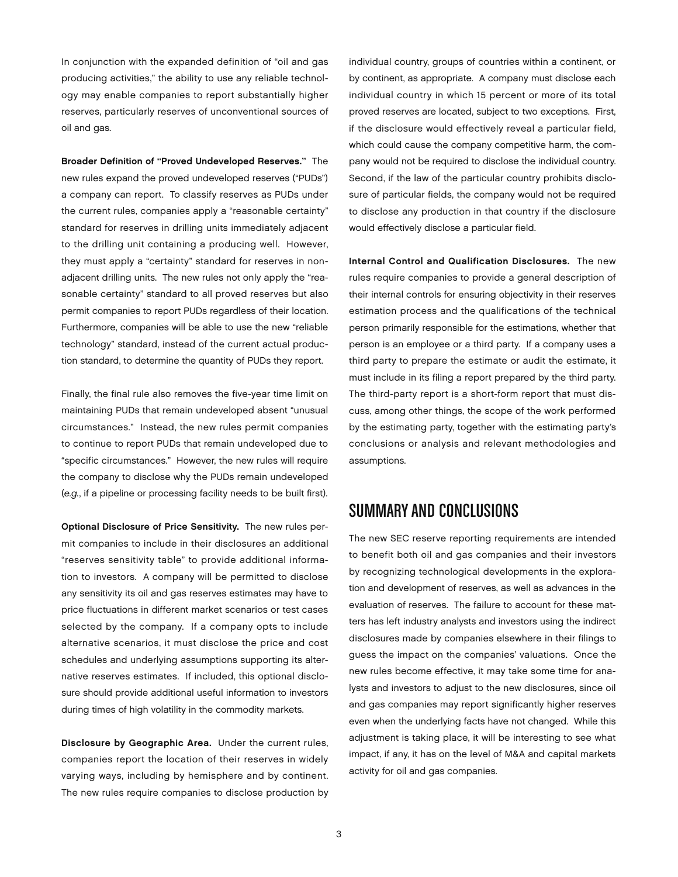In conjunction with the expanded definition of "oil and gas producing activities," the ability to use any reliable technology may enable companies to report substantially higher reserves, particularly reserves of unconventional sources of oil and gas.

Broader Definition of "Proved Undeveloped Reserves." The new rules expand the proved undeveloped reserves ("PUDs") a company can report. To classify reserves as PUDs under the current rules, companies apply a "reasonable certainty" standard for reserves in drilling units immediately adjacent to the drilling unit containing a producing well. However, they must apply a "certainty" standard for reserves in nonadjacent drilling units. The new rules not only apply the "reasonable certainty" standard to all proved reserves but also permit companies to report PUDs regardless of their location. Furthermore, companies will be able to use the new "reliable technology" standard, instead of the current actual production standard, to determine the quantity of PUDs they report.

Finally, the final rule also removes the five-year time limit on maintaining PUDs that remain undeveloped absent "unusual circumstances." Instead, the new rules permit companies to continue to report PUDs that remain undeveloped due to "specific circumstances." However, the new rules will require the company to disclose why the PUDs remain undeveloped (*e.g.*, if a pipeline or processing facility needs to be built first).

Optional Disclosure of Price Sensitivity. The new rules permit companies to include in their disclosures an additional "reserves sensitivity table" to provide additional information to investors. A company will be permitted to disclose any sensitivity its oil and gas reserves estimates may have to price fluctuations in different market scenarios or test cases selected by the company. If a company opts to include alternative scenarios, it must disclose the price and cost schedules and underlying assumptions supporting its alternative reserves estimates. If included, this optional disclosure should provide additional useful information to investors during times of high volatility in the commodity markets.

Disclosure by Geographic Area. Under the current rules, companies report the location of their reserves in widely varying ways, including by hemisphere and by continent. The new rules require companies to disclose production by

individual country, groups of countries within a continent, or by continent, as appropriate. A company must disclose each individual country in which 15 percent or more of its total proved reserves are located, subject to two exceptions. First, if the disclosure would effectively reveal a particular field, which could cause the company competitive harm, the company would not be required to disclose the individual country. Second, if the law of the particular country prohibits disclosure of particular fields, the company would not be required to disclose any production in that country if the disclosure would effectively disclose a particular field.

Internal Control and Qualification Disclosures. The new rules require companies to provide a general description of their internal controls for ensuring objectivity in their reserves estimation process and the qualifications of the technical person primarily responsible for the estimations, whether that person is an employee or a third party. If a company uses a third party to prepare the estimate or audit the estimate, it must include in its filing a report prepared by the third party. The third-party report is a short-form report that must discuss, among other things, the scope of the work performed by the estimating party, together with the estimating party's conclusions or analysis and relevant methodologies and assumptions.

## Summaryand Conclusions

The new SEC reserve reporting requirements are intended to benefit both oil and gas companies and their investors by recognizing technological developments in the exploration and development of reserves, as well as advances in the evaluation of reserves. The failure to account for these matters has left industry analysts and investors using the indirect disclosures made by companies elsewhere in their filings to guess the impact on the companies' valuations. Once the new rules become effective, it may take some time for analysts and investors to adjust to the new disclosures, since oil and gas companies may report significantly higher reserves even when the underlying facts have not changed. While this adjustment is taking place, it will be interesting to see what impact, if any, it has on the level of M&A and capital markets activity for oil and gas companies.